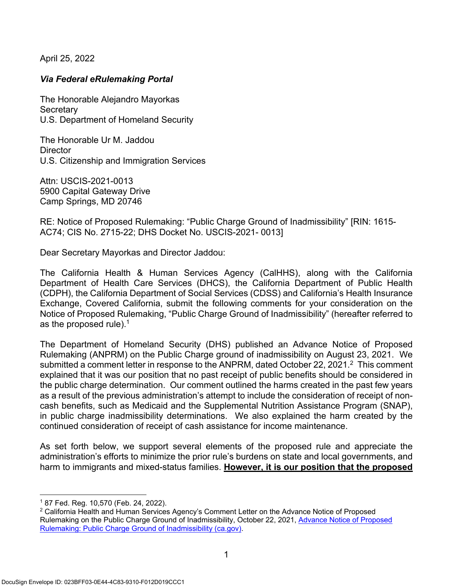April 25, 2022

## *Via Federal eRulemaking Portal*

The Honorable Alejandro Mayorkas **Secretary** U.S. Department of Homeland Security

The Honorable Ur M. Jaddou **Director** U.S. Citizenship and Immigration Services

Attn: USCIS-2021-0013 5900 Capital Gateway Drive Camp Springs, MD 20746

RE: Notice of Proposed Rulemaking: "Public Charge Ground of Inadmissibility" [RIN: 1615- AC74; CIS No. 2715-22; DHS Docket No. USCIS-2021- 0013]

Dear Secretary Mayorkas and Director Jaddou:

The California Health & Human Services Agency (CalHHS), along with the California Department of Health Care Services (DHCS), the California Department of Public Health (CDPH), the California Department of Social Services (CDSS) and California's Health Insurance Exchange, Covered California, submit the following comments for your consideration on the Notice of Proposed Rulemaking, "Public Charge Ground of Inadmissibility" (hereafter referred to as the proposed rule).<sup>1</sup>

The Department of Homeland Security (DHS) published an Advance Notice of Proposed Rulemaking (ANPRM) on the Public Charge ground of inadmissibility on August 23, 2021. We submitted a comment letter in response to the ANPRM, dated October 22, 2021.<sup>2</sup> This comment explained that it was our position that no past receipt of public benefits should be considered in the public charge determination. Our comment outlined the harms created in the past few years as a result of the previous administration's attempt to include the consideration of receipt of noncash benefits, such as Medicaid and the Supplemental Nutrition Assistance Program (SNAP), in public charge inadmissibility determinations. We also explained the harm created by the continued consideration of receipt of cash assistance for income maintenance.

As set forth below, we support several elements of the proposed rule and appreciate the administration's efforts to minimize the prior rule's burdens on state and local governments, and harm to immigrants and mixed-status families. **However, it is our position that the proposed**

<sup>1 87</sup> Fed. Reg. 10,570 (Feb. 24, 2022).

<sup>&</sup>lt;sup>2</sup> California Health and Human Services Agency's Comment Letter on the Advance Notice of Proposed Rulemaking on the Public Charge Ground of Inadmissibility, October 22, 2021, Advance Notice of Proposed Rulemaking: Public Charge Ground of Inadmissibility (ca.gov).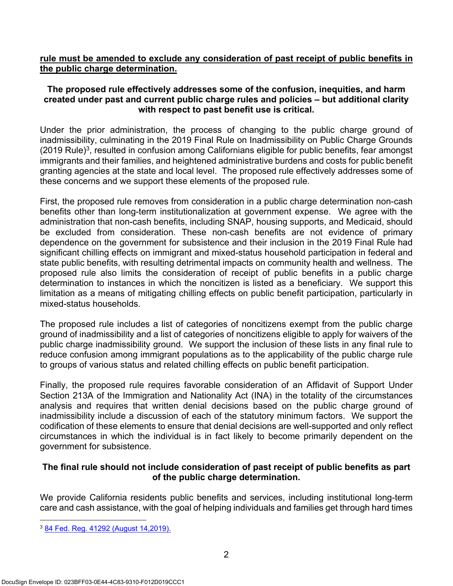### **rule must be amended to exclude any consideration of past receipt of public benefits in the public charge determination.**

## **The proposed rule effectively addresses some of the confusion, inequities, and harm created under past and current public charge rules and policies – but additional clarity with respect to past benefit use is critical.**

Under the prior administration, the process of changing to the public charge ground of inadmissibility, culminating in the 2019 Final Rule on Inadmissibility on Public Charge Grounds (2019 Rule)3, resulted in confusion among Californians eligible for public benefits, fear amongst immigrants and their families, and heightened administrative burdens and costs for public benefit granting agencies at the state and local level. The proposed rule effectively addresses some of these concerns and we support these elements of the proposed rule.

First, the proposed rule removes from consideration in a public charge determination non-cash benefits other than long-term institutionalization at government expense. We agree with the administration that non-cash benefits, including SNAP, housing supports, and Medicaid, should be excluded from consideration. These non-cash benefits are not evidence of primary dependence on the government for subsistence and their inclusion in the 2019 Final Rule had significant chilling effects on immigrant and mixed-status household participation in federal and state public benefits, with resulting detrimental impacts on community health and wellness. The proposed rule also limits the consideration of receipt of public benefits in a public charge determination to instances in which the noncitizen is listed as a beneficiary. We support this limitation as a means of mitigating chilling effects on public benefit participation, particularly in mixed-status households.

The proposed rule includes a list of categories of noncitizens exempt from the public charge ground of inadmissibility and a list of categories of noncitizens eligible to apply for waivers of the public charge inadmissibility ground. We support the inclusion of these lists in any final rule to reduce confusion among immigrant populations as to the applicability of the public charge rule to groups of various status and related chilling effects on public benefit participation.

Finally, the proposed rule requires favorable consideration of an Affidavit of Support Under Section 213A of the Immigration and Nationality Act (INA) in the totality of the circumstances analysis and requires that written denial decisions based on the public charge ground of inadmissibility include a discussion of each of the statutory minimum factors. We support the codification of these elements to ensure that denial decisions are well-supported and only reflect circumstances in which the individual is in fact likely to become primarily dependent on the government for subsistence.

## **The final rule should not include consideration of past receipt of public benefits as part of the public charge determination.**

We provide California residents public benefits and services, including institutional long-term care and cash assistance, with the goal of helping individuals and families get through hard times

<sup>3</sup> 84 Fed. Reg. 41292 (August 14,2019).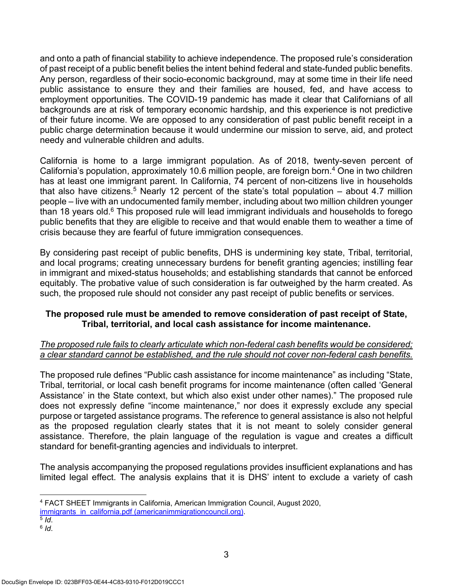and onto a path of financial stability to achieve independence. The proposed rule's consideration of past receipt of a public benefit belies the intent behind federal and state-funded public benefits. Any person, regardless of their socio-economic background, may at some time in their life need public assistance to ensure they and their families are housed, fed, and have access to employment opportunities. The COVID-19 pandemic has made it clear that Californians of all backgrounds are at risk of temporary economic hardship, and this experience is not predictive of their future income. We are opposed to any consideration of past public benefit receipt in a public charge determination because it would undermine our mission to serve, aid, and protect needy and vulnerable children and adults.

California is home to a large immigrant population. As of 2018, twenty-seven percent of California's population, approximately 10.6 million people, are foreign born.4 One in two children has at least one immigrant parent. In California, 74 percent of non-citizens live in households that also have citizens.<sup>5</sup> Nearly 12 percent of the state's total population  $-$  about 4.7 million people – live with an undocumented family member, including about two million children younger than 18 years old. $6$  This proposed rule will lead immigrant individuals and households to forego public benefits that they are eligible to receive and that would enable them to weather a time of crisis because they are fearful of future immigration consequences.

By considering past receipt of public benefits, DHS is undermining key state, Tribal, territorial, and local programs; creating unnecessary burdens for benefit granting agencies; instilling fear in immigrant and mixed-status households; and establishing standards that cannot be enforced equitably. The probative value of such consideration is far outweighed by the harm created. As such, the proposed rule should not consider any past receipt of public benefits or services.

#### **The proposed rule must be amended to remove consideration of past receipt of State, Tribal, territorial, and local cash assistance for income maintenance.**

## *The proposed rule fails to clearly articulate which non-federal cash benefits would be considered; a clear standard cannot be established, and the rule should not cover non-federal cash benefits.*

The proposed rule defines "Public cash assistance for income maintenance" as including "State, Tribal, territorial, or local cash benefit programs for income maintenance (often called 'General Assistance' in the State context, but which also exist under other names)." The proposed rule does not expressly define "income maintenance," nor does it expressly exclude any special purpose or targeted assistance programs. The reference to general assistance is also not helpful as the proposed regulation clearly states that it is not meant to solely consider general assistance. Therefore, the plain language of the regulation is vague and creates a difficult standard for benefit-granting agencies and individuals to interpret.

The analysis accompanying the proposed regulations provides insufficient explanations and has limited legal effect. The analysis explains that it is DHS' intent to exclude a variety of cash

immigrants\_in\_california.pdf (americanimmigrationcouncil.org). 5 *Id*. 6 *Id*.

- 
- 

<sup>4</sup> FACT SHEET Immigrants in California, American Immigration Council, August 2020,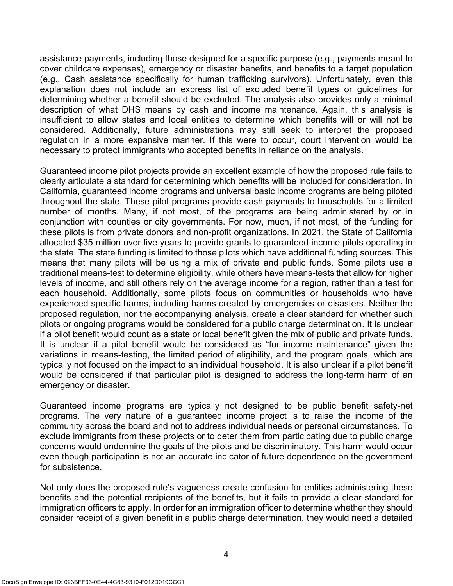assistance payments, including those designed for a specific purpose (e.g., payments meant to cover childcare expenses), emergency or disaster benefits, and benefits to a target population (e.g., Cash assistance specifically for human trafficking survivors). Unfortunately, even this explanation does not include an express list of excluded benefit types or guidelines for determining whether a benefit should be excluded. The analysis also provides only a minimal description of what DHS means by cash and income maintenance. Again, this analysis is insufficient to allow states and local entities to determine which benefits will or will not be considered. Additionally, future administrations may still seek to interpret the proposed regulation in a more expansive manner. If this were to occur, court intervention would be necessary to protect immigrants who accepted benefits in reliance on the analysis.

Guaranteed income pilot projects provide an excellent example of how the proposed rule fails to clearly articulate a standard for determining which benefits will be included for consideration. In California, guaranteed income programs and universal basic income programs are being piloted throughout the state. These pilot programs provide cash payments to households for a limited number of months. Many, if not most, of the programs are being administered by or in conjunction with counties or city governments. For now, much, if not most, of the funding for these pilots is from private donors and non-profit organizations. In 2021, the State of California allocated \$35 million over five years to provide grants to guaranteed income pilots operating in the state. The state funding is limited to those pilots which have additional funding sources. This means that many pilots will be using a mix of private and public funds. Some pilots use a traditional means-test to determine eligibility, while others have means-tests that allow for higher levels of income, and still others rely on the average income for a region, rather than a test for each household. Additionally, some pilots focus on communities or households who have experienced specific harms, including harms created by emergencies or disasters. Neither the proposed regulation, nor the accompanying analysis, create a clear standard for whether such pilots or ongoing programs would be considered for a public charge determination. It is unclear if a pilot benefit would count as a state or local benefit given the mix of public and private funds. It is unclear if a pilot benefit would be considered as "for income maintenance" given the variations in means-testing, the limited period of eligibility, and the program goals, which are typically not focused on the impact to an individual household. It is also unclear if a pilot benefit would be considered if that particular pilot is designed to address the long-term harm of an emergency or disaster.

Guaranteed income programs are typically not designed to be public benefit safety-net programs. The very nature of a guaranteed income project is to raise the income of the community across the board and not to address individual needs or personal circumstances. To exclude immigrants from these projects or to deter them from participating due to public charge concerns would undermine the goals of the pilots and be discriminatory. This harm would occur even though participation is not an accurate indicator of future dependence on the government for subsistence.

Not only does the proposed rule's vagueness create confusion for entities administering these benefits and the potential recipients of the benefits, but it fails to provide a clear standard for immigration officers to apply. In order for an immigration officer to determine whether they should consider receipt of a given benefit in a public charge determination, they would need a detailed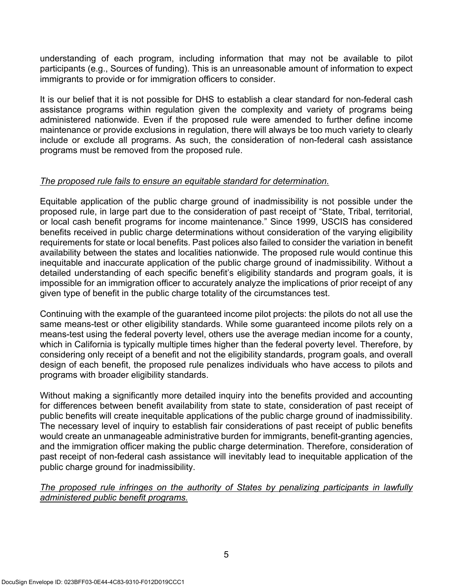understanding of each program, including information that may not be available to pilot participants (e.g., Sources of funding). This is an unreasonable amount of information to expect immigrants to provide or for immigration officers to consider.

It is our belief that it is not possible for DHS to establish a clear standard for non-federal cash assistance programs within regulation given the complexity and variety of programs being administered nationwide. Even if the proposed rule were amended to further define income maintenance or provide exclusions in regulation, there will always be too much variety to clearly include or exclude all programs. As such, the consideration of non-federal cash assistance programs must be removed from the proposed rule.

## *The proposed rule fails to ensure an equitable standard for determination.*

Equitable application of the public charge ground of inadmissibility is not possible under the proposed rule, in large part due to the consideration of past receipt of "State, Tribal, territorial, or local cash benefit programs for income maintenance." Since 1999, USCIS has considered benefits received in public charge determinations without consideration of the varying eligibility requirements for state or local benefits. Past polices also failed to consider the variation in benefit availability between the states and localities nationwide. The proposed rule would continue this inequitable and inaccurate application of the public charge ground of inadmissibility. Without a detailed understanding of each specific benefit's eligibility standards and program goals, it is impossible for an immigration officer to accurately analyze the implications of prior receipt of any given type of benefit in the public charge totality of the circumstances test.

Continuing with the example of the guaranteed income pilot projects: the pilots do not all use the same means-test or other eligibility standards. While some guaranteed income pilots rely on a means-test using the federal poverty level, others use the average median income for a county, which in California is typically multiple times higher than the federal poverty level. Therefore, by considering only receipt of a benefit and not the eligibility standards, program goals, and overall design of each benefit, the proposed rule penalizes individuals who have access to pilots and programs with broader eligibility standards.

Without making a significantly more detailed inquiry into the benefits provided and accounting for differences between benefit availability from state to state, consideration of past receipt of public benefits will create inequitable applications of the public charge ground of inadmissibility. The necessary level of inquiry to establish fair considerations of past receipt of public benefits would create an unmanageable administrative burden for immigrants, benefit-granting agencies, and the immigration officer making the public charge determination. Therefore, consideration of past receipt of non-federal cash assistance will inevitably lead to inequitable application of the public charge ground for inadmissibility.

#### *The proposed rule infringes on the authority of States by penalizing participants in lawfully administered public benefit programs.*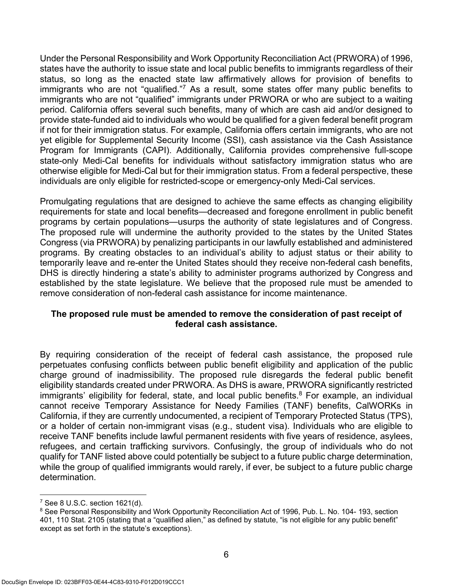Under the Personal Responsibility and Work Opportunity Reconciliation Act (PRWORA) of 1996, states have the authority to issue state and local public benefits to immigrants regardless of their status, so long as the enacted state law affirmatively allows for provision of benefits to immigrants who are not "qualified."7 As a result, some states offer many public benefits to immigrants who are not "qualified" immigrants under PRWORA or who are subject to a waiting period. California offers several such benefits, many of which are cash aid and/or designed to provide state-funded aid to individuals who would be qualified for a given federal benefit program if not for their immigration status. For example, California offers certain immigrants, who are not yet eligible for Supplemental Security Income (SSI), cash assistance via the Cash Assistance Program for Immigrants (CAPI). Additionally, California provides comprehensive full-scope state-only Medi-Cal benefits for individuals without satisfactory immigration status who are otherwise eligible for Medi-Cal but for their immigration status. From a federal perspective, these individuals are only eligible for restricted-scope or emergency-only Medi-Cal services.

Promulgating regulations that are designed to achieve the same effects as changing eligibility requirements for state and local benefits—decreased and foregone enrollment in public benefit programs by certain populations—usurps the authority of state legislatures and of Congress. The proposed rule will undermine the authority provided to the states by the United States Congress (via PRWORA) by penalizing participants in our lawfully established and administered programs. By creating obstacles to an individual's ability to adjust status or their ability to temporarily leave and re-enter the United States should they receive non-federal cash benefits, DHS is directly hindering a state's ability to administer programs authorized by Congress and established by the state legislature. We believe that the proposed rule must be amended to remove consideration of non-federal cash assistance for income maintenance.

#### **The proposed rule must be amended to remove the consideration of past receipt of federal cash assistance.**

By requiring consideration of the receipt of federal cash assistance, the proposed rule perpetuates confusing conflicts between public benefit eligibility and application of the public charge ground of inadmissibility. The proposed rule disregards the federal public benefit eligibility standards created under PRWORA. As DHS is aware, PRWORA significantly restricted immigrants' eligibility for federal, state, and local public benefits.<sup>8</sup> For example, an individual cannot receive Temporary Assistance for Needy Families (TANF) benefits, CalWORKs in California, if they are currently undocumented, a recipient of Temporary Protected Status (TPS), or a holder of certain non-immigrant visas (e.g., student visa). Individuals who are eligible to receive TANF benefits include lawful permanent residents with five years of residence, asylees, refugees, and certain trafficking survivors. Confusingly, the group of individuals who do not qualify for TANF listed above could potentially be subject to a future public charge determination, while the group of qualified immigrants would rarely, if ever, be subject to a future public charge determination.

<sup>7</sup> See 8 U.S.C. section 1621(d).

<sup>&</sup>lt;sup>8</sup> See Personal Responsibility and Work Opportunity Reconciliation Act of 1996, Pub. L. No. 104- 193, section 401, 110 Stat. 2105 (stating that a "qualified alien," as defined by statute, "is not eligible for any public benefit" except as set forth in the statute's exceptions).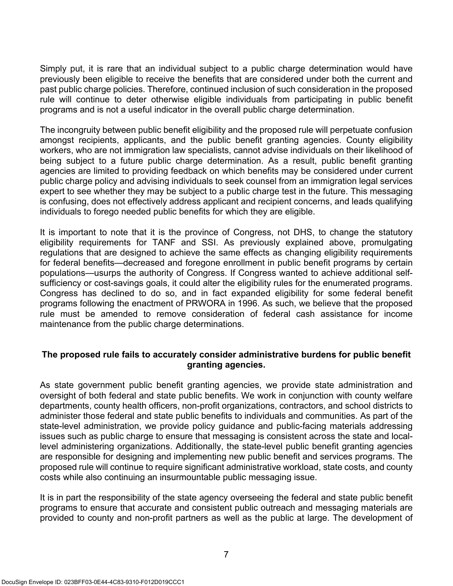Simply put, it is rare that an individual subject to a public charge determination would have previously been eligible to receive the benefits that are considered under both the current and past public charge policies. Therefore, continued inclusion of such consideration in the proposed rule will continue to deter otherwise eligible individuals from participating in public benefit programs and is not a useful indicator in the overall public charge determination.

The incongruity between public benefit eligibility and the proposed rule will perpetuate confusion amongst recipients, applicants, and the public benefit granting agencies. County eligibility workers, who are not immigration law specialists, cannot advise individuals on their likelihood of being subject to a future public charge determination. As a result, public benefit granting agencies are limited to providing feedback on which benefits may be considered under current public charge policy and advising individuals to seek counsel from an immigration legal services expert to see whether they may be subject to a public charge test in the future. This messaging is confusing, does not effectively address applicant and recipient concerns, and leads qualifying individuals to forego needed public benefits for which they are eligible.

It is important to note that it is the province of Congress, not DHS, to change the statutory eligibility requirements for TANF and SSI. As previously explained above, promulgating regulations that are designed to achieve the same effects as changing eligibility requirements for federal benefits—decreased and foregone enrollment in public benefit programs by certain populations—usurps the authority of Congress. If Congress wanted to achieve additional selfsufficiency or cost-savings goals, it could alter the eligibility rules for the enumerated programs. Congress has declined to do so, and in fact expanded eligibility for some federal benefit programs following the enactment of PRWORA in 1996. As such, we believe that the proposed rule must be amended to remove consideration of federal cash assistance for income maintenance from the public charge determinations.

#### **The proposed rule fails to accurately consider administrative burdens for public benefit granting agencies.**

As state government public benefit granting agencies, we provide state administration and oversight of both federal and state public benefits. We work in conjunction with county welfare departments, county health officers, non-profit organizations, contractors, and school districts to administer those federal and state public benefits to individuals and communities. As part of the state-level administration, we provide policy guidance and public-facing materials addressing issues such as public charge to ensure that messaging is consistent across the state and locallevel administering organizations. Additionally, the state-level public benefit granting agencies are responsible for designing and implementing new public benefit and services programs. The proposed rule will continue to require significant administrative workload, state costs, and county costs while also continuing an insurmountable public messaging issue.

It is in part the responsibility of the state agency overseeing the federal and state public benefit programs to ensure that accurate and consistent public outreach and messaging materials are provided to county and non-profit partners as well as the public at large. The development of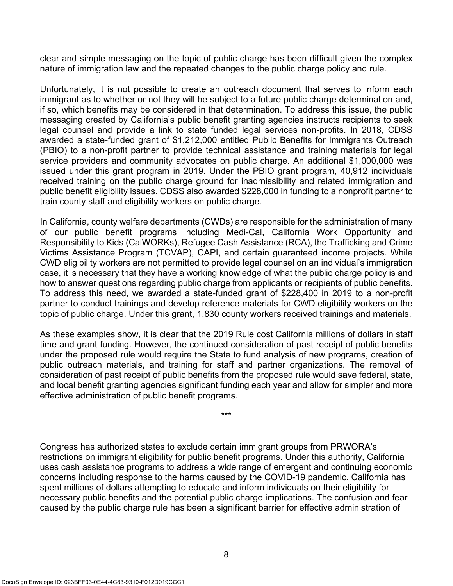clear and simple messaging on the topic of public charge has been difficult given the complex nature of immigration law and the repeated changes to the public charge policy and rule.

Unfortunately, it is not possible to create an outreach document that serves to inform each immigrant as to whether or not they will be subject to a future public charge determination and, if so, which benefits may be considered in that determination. To address this issue, the public messaging created by California's public benefit granting agencies instructs recipients to seek legal counsel and provide a link to state funded legal services non-profits. In 2018, CDSS awarded a state-funded grant of \$1,212,000 entitled Public Benefits for Immigrants Outreach (PBIO) to a non-profit partner to provide technical assistance and training materials for legal service providers and community advocates on public charge. An additional \$1,000,000 was issued under this grant program in 2019. Under the PBIO grant program, 40,912 individuals received training on the public charge ground for inadmissibility and related immigration and public benefit eligibility issues. CDSS also awarded \$228,000 in funding to a nonprofit partner to train county staff and eligibility workers on public charge.

In California, county welfare departments (CWDs) are responsible for the administration of many of our public benefit programs including Medi-Cal, California Work Opportunity and Responsibility to Kids (CalWORKs), Refugee Cash Assistance (RCA), the Trafficking and Crime Victims Assistance Program (TCVAP), CAPI, and certain guaranteed income projects. While CWD eligibility workers are not permitted to provide legal counsel on an individual's immigration case, it is necessary that they have a working knowledge of what the public charge policy is and how to answer questions regarding public charge from applicants or recipients of public benefits. To address this need, we awarded a state-funded grant of \$228,400 in 2019 to a non-profit partner to conduct trainings and develop reference materials for CWD eligibility workers on the topic of public charge. Under this grant, 1,830 county workers received trainings and materials.

As these examples show, it is clear that the 2019 Rule cost California millions of dollars in staff time and grant funding. However, the continued consideration of past receipt of public benefits under the proposed rule would require the State to fund analysis of new programs, creation of public outreach materials, and training for staff and partner organizations. The removal of consideration of past receipt of public benefits from the proposed rule would save federal, state, and local benefit granting agencies significant funding each year and allow for simpler and more effective administration of public benefit programs.

\*\*\*

Congress has authorized states to exclude certain immigrant groups from PRWORA's restrictions on immigrant eligibility for public benefit programs. Under this authority, California uses cash assistance programs to address a wide range of emergent and continuing economic concerns including response to the harms caused by the COVID-19 pandemic. California has spent millions of dollars attempting to educate and inform individuals on their eligibility for necessary public benefits and the potential public charge implications. The confusion and fear caused by the public charge rule has been a significant barrier for effective administration of